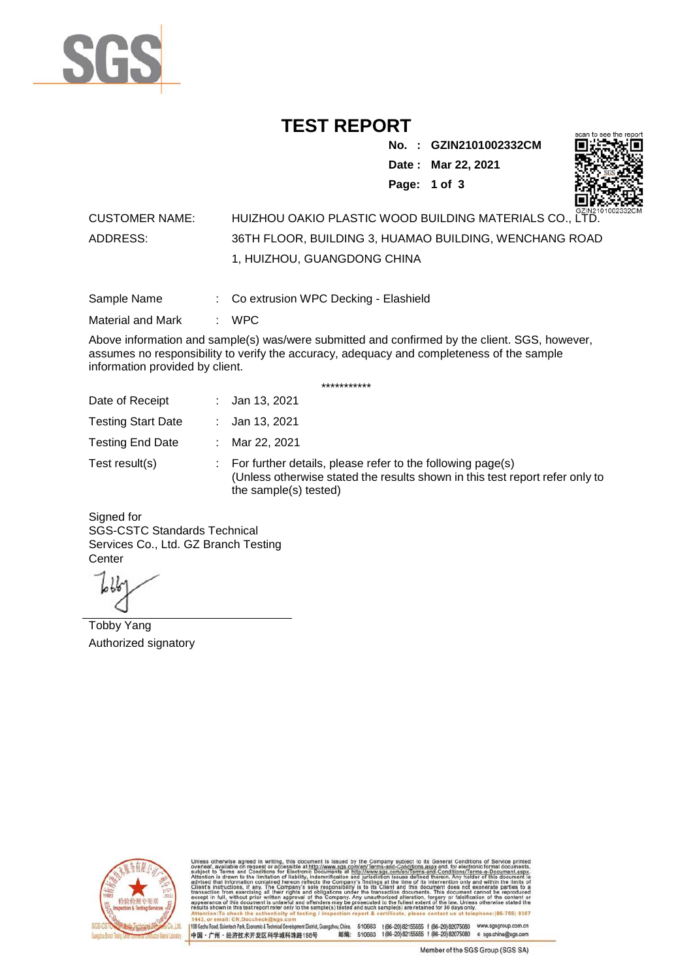

### **TEST REPORT**

**No. : GZIN2101002332CM Date : Mar 22, 2021**



**Page: 1 of 3** 

### CUSTOMER NAME: HUIZHOU OAKIO PLASTIC WOOD BUILDING MATERIALS CO., LTD. ADDRESS: 36TH FLOOR, BUILDING 3, HUAMAO BUILDING, WENCHANG ROAD 1, HUIZHOU, GUANGDONG CHINA

Sample Name : Co extrusion WPC Decking - Elashield

Material and Mark : WPC

Above information and sample(s) was/were submitted and confirmed by the client. SGS, however, assumes no responsibility to verify the accuracy, adequacy and completeness of the sample information provided by client.

\*\*\*\*\*\*\*\*\*\*\*

| Date of Receipt           |    | : Jan 13, 2021                                                                                                                                                        |
|---------------------------|----|-----------------------------------------------------------------------------------------------------------------------------------------------------------------------|
| <b>Testing Start Date</b> |    | : Jan 13, 2021                                                                                                                                                        |
| <b>Testing End Date</b>   | ÷. | Mar 22, 2021                                                                                                                                                          |
| Test result(s)            |    | : For further details, please refer to the following page(s)<br>(Unless otherwise stated the results shown in this test report refer only to<br>the sample(s) tested) |

Signed for SGS-CSTC Standards Technical Services Co., Ltd. GZ Branch Testing **Center** 

Tobby Yang Authorized signatory



510663 t(86-20) 82155555 f (86-20) 82075080 www.sgsgroup.com.cn<br>510663 t(86-20) 82155555 f (86-20) 82075080 e sgs.china@sgs.com 198 Kezhu Road, Scientech Park, Eco nomic & Technical Devel tou, China. ant District C 邮编: 中国·广州·经济技术开发区科学城科珠路198号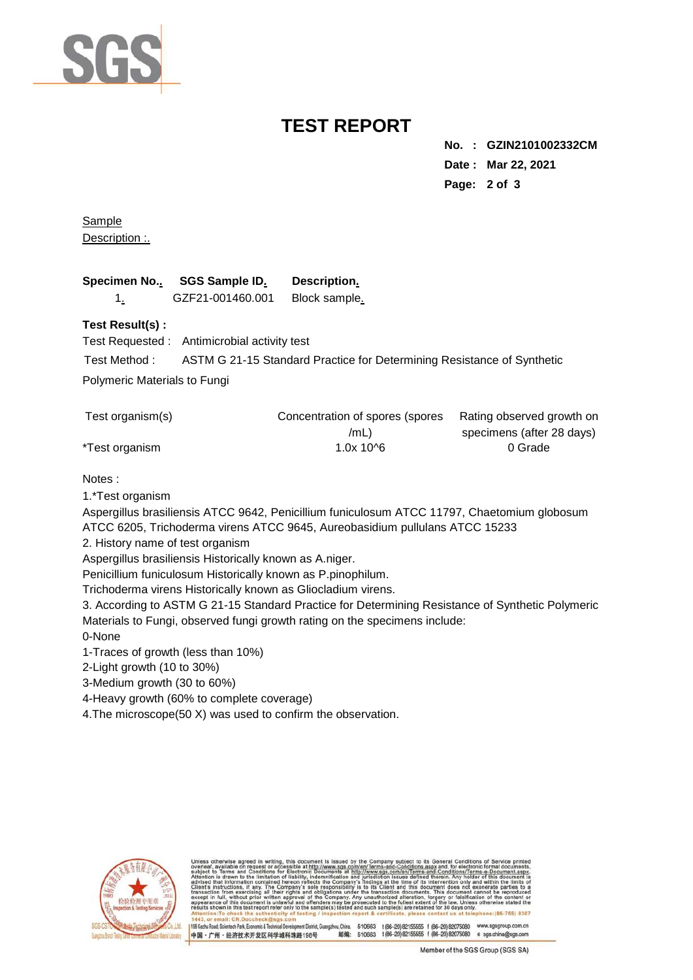

## **TEST REPORT**

**No. : GZIN2101002332CM Date : Mar 22, 2021 Page: 2 of 3** 

**Sample** Description :.

| Specimen No SGS Sample ID. | Description.  |
|----------------------------|---------------|
| GZF21-001460.001           | Block sample. |

#### **Test Result(s) :**

Test Requested : Antimicrobial activity test

Test Method : ASTM G 21-15 Standard Practice for Determining Resistance of Synthetic

Polymeric Materials to Fungi

| Test organism(s) | Concentration of spores (spores | Rating observed growth on |
|------------------|---------------------------------|---------------------------|
|                  | /mL)                            | specimens (after 28 days) |
| *Test organism   | $1.0x$ 10^6                     | 0 Grade                   |

#### Notes :

1.\*Test organism

Aspergillus brasiliensis ATCC 9642, Penicillium funiculosum ATCC 11797, Chaetomium globosum ATCC 6205, Trichoderma virens ATCC 9645, Aureobasidium pullulans ATCC 15233

2. History name of test organism

Aspergillus brasiliensis Historically known as A.niger.

Penicillium funiculosum Historically known as P.pinophilum.

Trichoderma virens Historically known as Gliocladium virens.

3. According to ASTM G 21-15 Standard Practice for Determining Resistance of Synthetic Polymeric Materials to Fungi, observed fungi growth rating on the specimens include:

0-None

1-Traces of growth (less than 10%)

2-Light growth (10 to 30%)

3-Medium growth (30 to 60%)

4-Heavy growth (60% to complete coverage)

4.The microscope(50 X) was used to confirm the observation.



ent District, Guangzhou, China. 510663 t (86-20) 82155555 f (86-20) 82075080 w.sasaroup.com.cn 198 Kezhu Road, Scientech Park, Fonnomic & Technical Devel 邮编: 510663 t(86-20) 82155555 f (86-20) 82075080 e sgs.china@sgs.com 中国·广州·经济技术开发区科学城科珠路198号